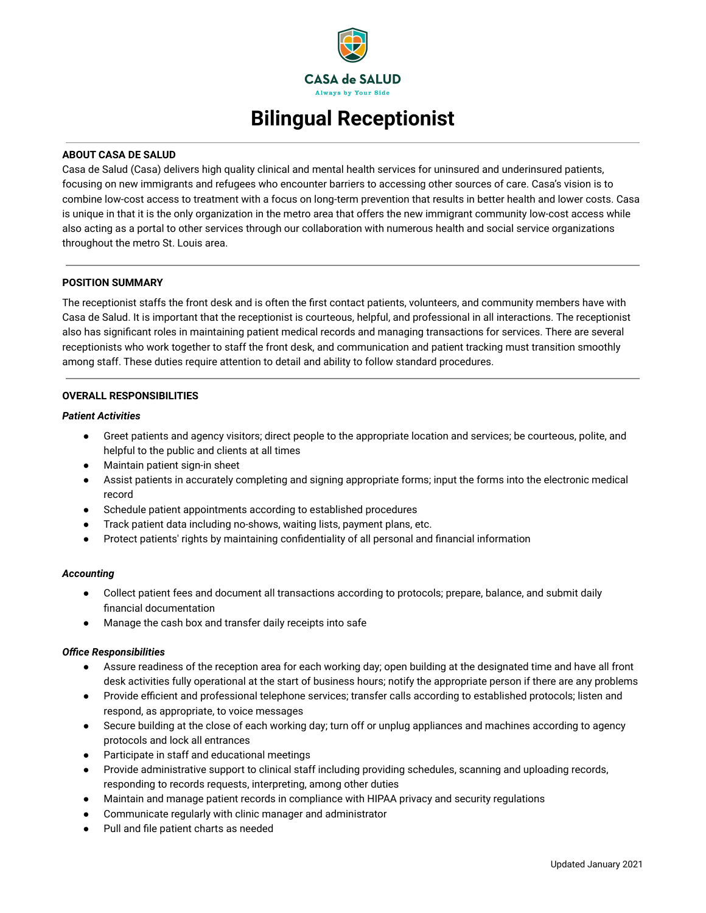

# **Bilingual Receptionist**

## **ABOUT CASA DE SALUD**

Casa de Salud (Casa) delivers high quality clinical and mental health services for uninsured and underinsured patients, focusing on new immigrants and refugees who encounter barriers to accessing other sources of care. Casa's vision is to combine low-cost access to treatment with a focus on long-term prevention that results in better health and lower costs. Casa is unique in that it is the only organization in the metro area that offers the new immigrant community low-cost access while also acting as a portal to other services through our collaboration with numerous health and social service organizations throughout the metro St. Louis area.

## **POSITION SUMMARY**

The receptionist staffs the front desk and is often the first contact patients, volunteers, and community members have with Casa de Salud. It is important that the receptionist is courteous, helpful, and professional in all interactions. The receptionist also has significant roles in maintaining patient medical records and managing transactions for services. There are several receptionists who work together to staff the front desk, and communication and patient tracking must transition smoothly among staff. These duties require attention to detail and ability to follow standard procedures.

### **OVERALL RESPONSIBILITIES**

#### *Patient Activities*

- Greet patients and agency visitors; direct people to the appropriate location and services; be courteous, polite, and helpful to the public and clients at all times
- Maintain patient sign-in sheet
- Assist patients in accurately completing and signing appropriate forms; input the forms into the electronic medical record
- Schedule patient appointments according to established procedures
- Track patient data including no-shows, waiting lists, payment plans, etc.
- Protect patients' rights by maintaining confidentiality of all personal and financial information

#### *Accounting*

- Collect patient fees and document all transactions according to protocols; prepare, balance, and submit daily financial documentation
- Manage the cash box and transfer daily receipts into safe

#### *Office Responsibilities*

- Assure readiness of the reception area for each working day; open building at the designated time and have all front desk activities fully operational at the start of business hours; notify the appropriate person if there are any problems
- Provide efficient and professional telephone services; transfer calls according to established protocols; listen and respond, as appropriate, to voice messages
- Secure building at the close of each working day; turn off or unplug appliances and machines according to agency protocols and lock all entrances
- Participate in staff and educational meetings
- Provide administrative support to clinical staff including providing schedules, scanning and uploading records, responding to records requests, interpreting, among other duties
- Maintain and manage patient records in compliance with HIPAA privacy and security regulations
- Communicate regularly with clinic manager and administrator
- Pull and file patient charts as needed